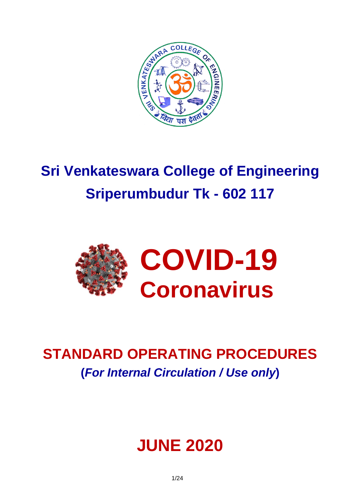

# **Sri Venkateswara College of Engineering Sriperumbudur Tk - 602 117**



## **STANDARD OPERATING PROCEDURES (***For Internal Circulation / Use only***)**

## **JUNE 2020**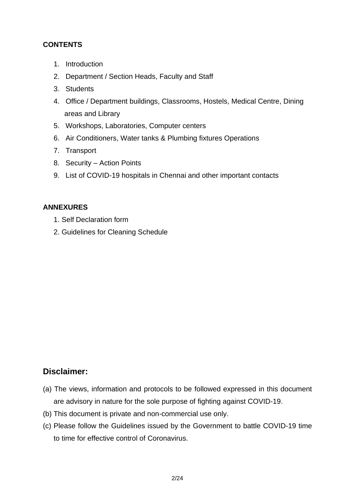## **CONTENTS**

- 1. Introduction
- 2. Department / Section Heads, Faculty and Staff
- 3. Students
- 4. Office / Department buildings, Classrooms, Hostels, Medical Centre, Dining areas and Library
- 5. Workshops, Laboratories, Computer centers
- 6. Air Conditioners, Water tanks & Plumbing fixtures Operations
- 7. Transport
- 8. Security Action Points
- 9. List of COVID-19 hospitals in Chennai and other important contacts

## **ANNEXURES**

- 1. Self Declaration form
- 2. Guidelines for Cleaning Schedule

## **Disclaimer:**

- (a) The views, information and protocols to be followed expressed in this document are advisory in nature for the sole purpose of fighting against COVID-19.
- (b) This document is private and non-commercial use only.
- (c) Please follow the Guidelines issued by the Government to battle COVID-19 time to time for effective control of Coronavirus.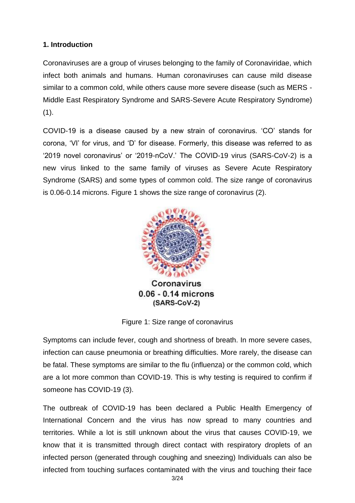## **1. Introduction**

Coronaviruses are a group of viruses belonging to the family of Coronaviridae, which infect both animals and humans. Human coronaviruses can cause mild disease similar to a common cold, while others cause more severe disease (such as MERS - Middle East Respiratory Syndrome and SARS-Severe Acute Respiratory Syndrome)  $(1).$ 

COVID-19 is a disease caused by a new strain of coronavirus. 'CO' stands for corona, 'VI' for virus, and 'D' for disease. Formerly, this disease was referred to as '2019 novel coronavirus' or '2019-nCoV.' The COVID-19 virus (SARS-CoV-2) is a new virus linked to the same family of viruses as Severe Acute Respiratory Syndrome (SARS) and some types of common cold. The size range of coronavirus is 0.06-0.14 microns. Figure 1 shows the size range of coronavirus (2).



 $0.06 - 0.14$  microns (SARS-CoV-2)

Figure 1: Size range of coronavirus

Symptoms can include fever, cough and shortness of breath. In more severe cases, infection can cause pneumonia or breathing difficulties. More rarely, the disease can be fatal. These symptoms are similar to the flu (influenza) or the common cold, which are a lot more common than COVID-19. This is why testing is required to confirm if someone has COVID-19 (3).

The outbreak of COVID-19 has been declared a Public Health Emergency of International Concern and the virus has now spread to many countries and territories. While a lot is still unknown about the virus that causes COVID-19, we know that it is transmitted through direct contact with respiratory droplets of an infected person (generated through coughing and sneezing) Individuals can also be infected from touching surfaces contaminated with the virus and touching their face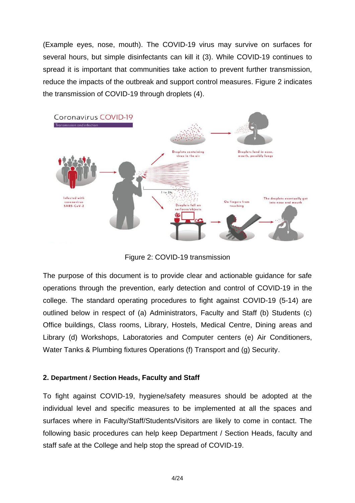(Example eyes, nose, mouth). The COVID-19 virus may survive on surfaces for several hours, but simple disinfectants can kill it (3). While COVID-19 continues to spread it is important that communities take action to prevent further transmission, reduce the impacts of the outbreak and support control measures. Figure 2 indicates the transmission of COVID-19 through droplets (4).



Figure 2: COVID-19 transmission

The purpose of this document is to provide clear and actionable guidance for safe operations through the prevention, early detection and control of COVID-19 in the college. The standard operating procedures to fight against COVID-19 (5-14) are outlined below in respect of (a) Administrators, Faculty and Staff (b) Students (c) Office buildings, Class rooms, Library, Hostels, Medical Centre, Dining areas and Library (d) Workshops, Laboratories and Computer centers (e) Air Conditioners, Water Tanks & Plumbing fixtures Operations (f) Transport and (g) Security.

## **2. Department / Section Heads, Faculty and Staff**

To fight against COVID-19, hygiene/safety measures should be adopted at the individual level and specific measures to be implemented at all the spaces and surfaces where in Faculty/Staff/Students/Visitors are likely to come in contact. The following basic procedures can help keep Department / Section Heads, faculty and staff safe at the College and help stop the spread of COVID-19.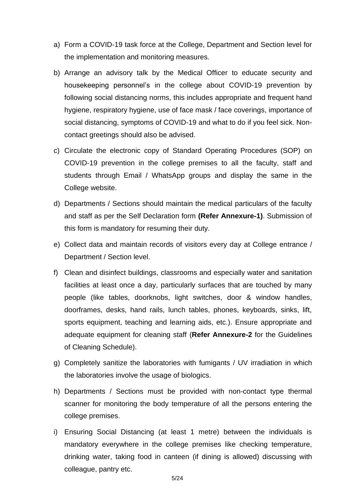- a) Form a COVID-19 task force at the College, Department and Section level for the implementation and monitoring measures.
- b) Arrange an advisory talk by the Medical Officer to educate security and housekeeping personnel's in the college about COVID-19 prevention by following social distancing norms, this includes appropriate and frequent hand hygiene, respiratory hygiene, use of face mask / face coverings, importance of social distancing, symptoms of COVID-19 and what to do if you feel sick. Noncontact greetings should also be advised.
- c) Circulate the electronic copy of Standard Operating Procedures (SOP) on COVID-19 prevention in the college premises to all the faculty, staff and students through Email / WhatsApp groups and display the same in the College website.
- d) Departments / Sections should maintain the medical particulars of the faculty and staff as per the Self Declaration form **(Refer Annexure-1)**. Submission of this form is mandatory for resuming their duty.
- e) Collect data and maintain records of visitors every day at College entrance / Department / Section level.
- f) Clean and disinfect buildings, classrooms and especially water and sanitation facilities at least once a day, particularly surfaces that are touched by many people (like tables, doorknobs, light switches, door & window handles, doorframes, desks, hand rails, lunch tables, phones, keyboards, sinks, lift, sports equipment, teaching and learning aids, etc.). Ensure appropriate and adequate equipment for cleaning staff (**Refer Annexure-2** for the Guidelines of Cleaning Schedule).
- g) Completely sanitize the laboratories with fumigants / UV irradiation in which the laboratories involve the usage of biologics.
- h) Departments / Sections must be provided with non-contact type thermal scanner for monitoring the body temperature of all the persons entering the college premises.
- i) Ensuring Social Distancing (at least 1 metre) between the individuals is mandatory everywhere in the college premises like checking temperature, drinking water, taking food in canteen (if dining is allowed) discussing with colleague, pantry etc.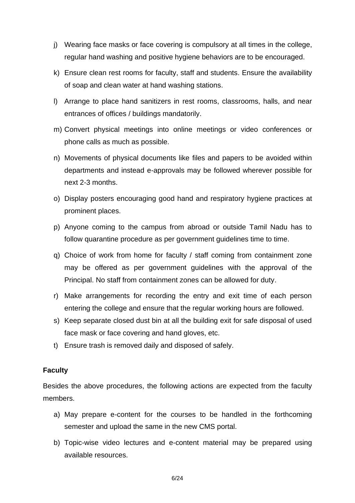- j) Wearing face masks or face covering is compulsory at all times in the college, regular hand washing and positive hygiene behaviors are to be encouraged.
- k) Ensure clean rest rooms for faculty, staff and students. Ensure the availability of soap and clean water at hand washing stations.
- l) Arrange to place hand sanitizers in rest rooms, classrooms, halls, and near entrances of offices / buildings mandatorily.
- m) Convert physical meetings into online meetings or video conferences or phone calls as much as possible.
- n) Movements of physical documents like files and papers to be avoided within departments and instead e-approvals may be followed wherever possible for next 2-3 months.
- o) Display posters encouraging good hand and respiratory hygiene practices at prominent places.
- p) Anyone coming to the campus from abroad or outside Tamil Nadu has to follow quarantine procedure as per government guidelines time to time.
- q) Choice of work from home for faculty / staff coming from containment zone may be offered as per government guidelines with the approval of the Principal. No staff from containment zones can be allowed for duty.
- r) Make arrangements for recording the entry and exit time of each person entering the college and ensure that the regular working hours are followed.
- s) Keep separate closed dust bin at all the building exit for safe disposal of used face mask or face covering and hand gloves, etc.
- t) Ensure trash is removed daily and disposed of safely.

## **Faculty**

Besides the above procedures, the following actions are expected from the faculty members.

- a) May prepare e-content for the courses to be handled in the forthcoming semester and upload the same in the new CMS portal.
- b) Topic-wise video lectures and e-content material may be prepared using available resources.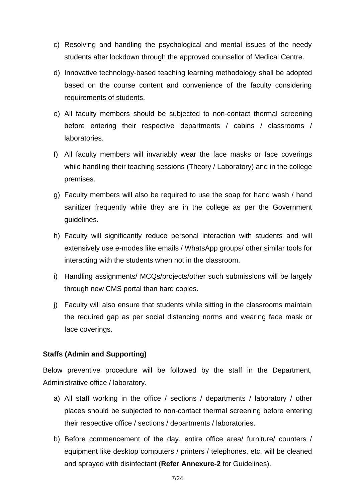- c) Resolving and handling the psychological and mental issues of the needy students after lockdown through the approved counsellor of Medical Centre.
- d) Innovative technology-based teaching learning methodology shall be adopted based on the course content and convenience of the faculty considering requirements of students.
- e) All faculty members should be subjected to non-contact thermal screening before entering their respective departments / cabins / classrooms / laboratories.
- f) All faculty members will invariably wear the face masks or face coverings while handling their teaching sessions (Theory / Laboratory) and in the college premises.
- g) Faculty members will also be required to use the soap for hand wash / hand sanitizer frequently while they are in the college as per the Government guidelines.
- h) Faculty will significantly reduce personal interaction with students and will extensively use e-modes like emails / WhatsApp groups/ other similar tools for interacting with the students when not in the classroom.
- i) Handling assignments/ MCQs/projects/other such submissions will be largely through new CMS portal than hard copies.
- j) Faculty will also ensure that students while sitting in the classrooms maintain the required gap as per social distancing norms and wearing face mask or face coverings.

## **Staffs (Admin and Supporting)**

Below preventive procedure will be followed by the staff in the Department, Administrative office / laboratory.

- a) All staff working in the office / sections / departments / laboratory / other places should be subjected to non-contact thermal screening before entering their respective office / sections / departments / laboratories.
- b) Before commencement of the day, entire office area/ furniture/ counters / equipment like desktop computers / printers / telephones, etc. will be cleaned and sprayed with disinfectant (**Refer Annexure-2** for Guidelines).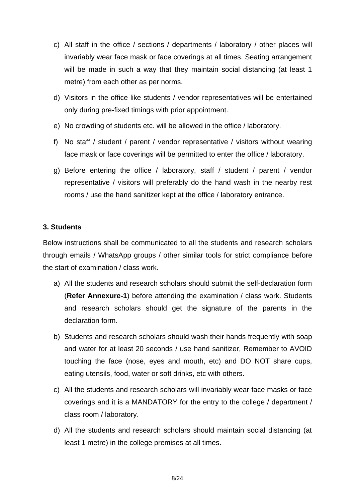- c) All staff in the office / sections / departments / laboratory / other places will invariably wear face mask or face coverings at all times. Seating arrangement will be made in such a way that they maintain social distancing (at least 1 metre) from each other as per norms.
- d) Visitors in the office like students / vendor representatives will be entertained only during pre-fixed timings with prior appointment.
- e) No crowding of students etc. will be allowed in the office / laboratory.
- f) No staff / student / parent / vendor representative / visitors without wearing face mask or face coverings will be permitted to enter the office / laboratory.
- g) Before entering the office / laboratory, staff / student / parent / vendor representative / visitors will preferably do the hand wash in the nearby rest rooms / use the hand sanitizer kept at the office / laboratory entrance.

## **3. Students**

Below instructions shall be communicated to all the students and research scholars through emails / WhatsApp groups / other similar tools for strict compliance before the start of examination / class work.

- a) All the students and research scholars should submit the self-declaration form (**Refer Annexure-1**) before attending the examination / class work. Students and research scholars should get the signature of the parents in the declaration form.
- b) Students and research scholars should wash their hands frequently with soap and water for at least 20 seconds / use hand sanitizer, Remember to AVOID touching the face (nose, eyes and mouth, etc) and DO NOT share cups, eating utensils, food, water or soft drinks, etc with others.
- c) All the students and research scholars will invariably wear face masks or face coverings and it is a MANDATORY for the entry to the college / department / class room / laboratory.
- d) All the students and research scholars should maintain social distancing (at least 1 metre) in the college premises at all times.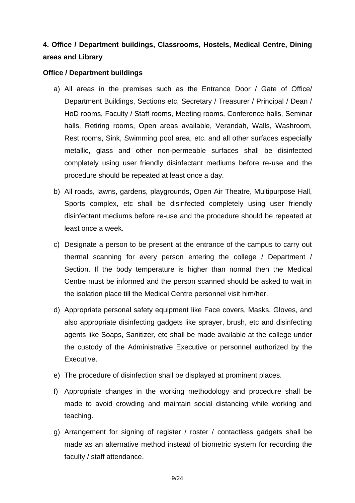## **4. Office / Department buildings, Classrooms, Hostels, Medical Centre, Dining areas and Library**

## **Office / Department buildings**

- a) All areas in the premises such as the Entrance Door / Gate of Office/ Department Buildings, Sections etc, Secretary / Treasurer / Principal / Dean / HoD rooms, Faculty / Staff rooms, Meeting rooms, Conference halls, Seminar halls, Retiring rooms, Open areas available, Verandah, Walls, Washroom, Rest rooms, Sink, Swimming pool area, etc. and all other surfaces especially metallic, glass and other non-permeable surfaces shall be disinfected completely using user friendly disinfectant mediums before re-use and the procedure should be repeated at least once a day.
- b) All roads, lawns, gardens, playgrounds, Open Air Theatre, Multipurpose Hall, Sports complex, etc shall be disinfected completely using user friendly disinfectant mediums before re-use and the procedure should be repeated at least once a week.
- c) Designate a person to be present at the entrance of the campus to carry out thermal scanning for every person entering the college / Department / Section. If the body temperature is higher than normal then the Medical Centre must be informed and the person scanned should be asked to wait in the isolation place till the Medical Centre personnel visit him/her.
- d) Appropriate personal safety equipment like Face covers, Masks, Gloves, and also appropriate disinfecting gadgets like sprayer, brush, etc and disinfecting agents like Soaps, Sanitizer, etc shall be made available at the college under the custody of the Administrative Executive or personnel authorized by the Executive.
- e) The procedure of disinfection shall be displayed at prominent places.
- f) Appropriate changes in the working methodology and procedure shall be made to avoid crowding and maintain social distancing while working and teaching.
- g) Arrangement for signing of register / roster / contactless gadgets shall be made as an alternative method instead of biometric system for recording the faculty / staff attendance.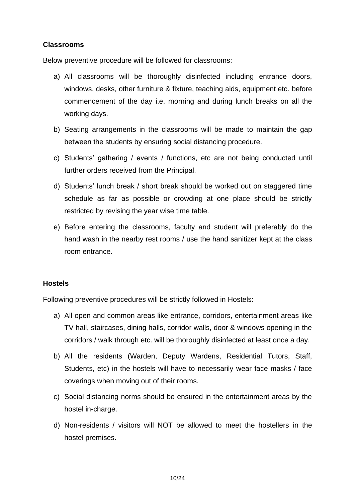## **Classrooms**

Below preventive procedure will be followed for classrooms:

- a) All classrooms will be thoroughly disinfected including entrance doors, windows, desks, other furniture & fixture, teaching aids, equipment etc. before commencement of the day i.e. morning and during lunch breaks on all the working days.
- b) Seating arrangements in the classrooms will be made to maintain the gap between the students by ensuring social distancing procedure.
- c) Students' gathering / events / functions, etc are not being conducted until further orders received from the Principal.
- d) Students' lunch break / short break should be worked out on staggered time schedule as far as possible or crowding at one place should be strictly restricted by revising the year wise time table.
- e) Before entering the classrooms, faculty and student will preferably do the hand wash in the nearby rest rooms / use the hand sanitizer kept at the class room entrance.

## **Hostels**

Following preventive procedures will be strictly followed in Hostels:

- a) All open and common areas like entrance, corridors, entertainment areas like TV hall, staircases, dining halls, corridor walls, door & windows opening in the corridors / walk through etc. will be thoroughly disinfected at least once a day.
- b) All the residents (Warden, Deputy Wardens, Residential Tutors, Staff, Students, etc) in the hostels will have to necessarily wear face masks / face coverings when moving out of their rooms.
- c) Social distancing norms should be ensured in the entertainment areas by the hostel in-charge.
- d) Non-residents / visitors will NOT be allowed to meet the hostellers in the hostel premises.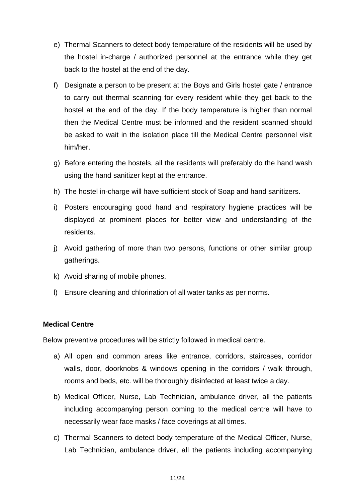- e) Thermal Scanners to detect body temperature of the residents will be used by the hostel in-charge / authorized personnel at the entrance while they get back to the hostel at the end of the day.
- f) Designate a person to be present at the Boys and Girls hostel gate / entrance to carry out thermal scanning for every resident while they get back to the hostel at the end of the day. If the body temperature is higher than normal then the Medical Centre must be informed and the resident scanned should be asked to wait in the isolation place till the Medical Centre personnel visit him/her.
- g) Before entering the hostels, all the residents will preferably do the hand wash using the hand sanitizer kept at the entrance.
- h) The hostel in-charge will have sufficient stock of Soap and hand sanitizers.
- i) Posters encouraging good hand and respiratory hygiene practices will be displayed at prominent places for better view and understanding of the residents.
- j) Avoid gathering of more than two persons, functions or other similar group gatherings.
- k) Avoid sharing of mobile phones.
- l) Ensure cleaning and chlorination of all water tanks as per norms.

## **Medical Centre**

Below preventive procedures will be strictly followed in medical centre.

- a) All open and common areas like entrance, corridors, staircases, corridor walls, door, doorknobs & windows opening in the corridors / walk through, rooms and beds, etc. will be thoroughly disinfected at least twice a day.
- b) Medical Officer, Nurse, Lab Technician, ambulance driver, all the patients including accompanying person coming to the medical centre will have to necessarily wear face masks / face coverings at all times.
- c) Thermal Scanners to detect body temperature of the Medical Officer, Nurse, Lab Technician, ambulance driver, all the patients including accompanying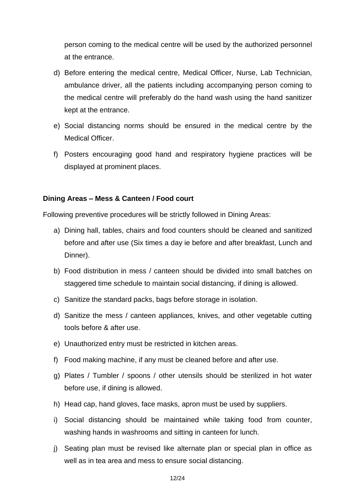person coming to the medical centre will be used by the authorized personnel at the entrance.

- d) Before entering the medical centre, Medical Officer, Nurse, Lab Technician, ambulance driver, all the patients including accompanying person coming to the medical centre will preferably do the hand wash using the hand sanitizer kept at the entrance.
- e) Social distancing norms should be ensured in the medical centre by the Medical Officer.
- f) Posters encouraging good hand and respiratory hygiene practices will be displayed at prominent places.

## **Dining Areas – Mess & Canteen / Food court**

Following preventive procedures will be strictly followed in Dining Areas:

- a) Dining hall, tables, chairs and food counters should be cleaned and sanitized before and after use (Six times a day ie before and after breakfast, Lunch and Dinner).
- b) Food distribution in mess / canteen should be divided into small batches on staggered time schedule to maintain social distancing, if dining is allowed.
- c) Sanitize the standard packs, bags before storage in isolation.
- d) Sanitize the mess / canteen appliances, knives, and other vegetable cutting tools before & after use.
- e) Unauthorized entry must be restricted in kitchen areas.
- f) Food making machine, if any must be cleaned before and after use.
- g) Plates / Tumbler / spoons / other utensils should be sterilized in hot water before use, if dining is allowed.
- h) Head cap, hand gloves, face masks, apron must be used by suppliers.
- i) Social distancing should be maintained while taking food from counter, washing hands in washrooms and sitting in canteen for lunch.
- j) Seating plan must be revised like alternate plan or special plan in office as well as in tea area and mess to ensure social distancing.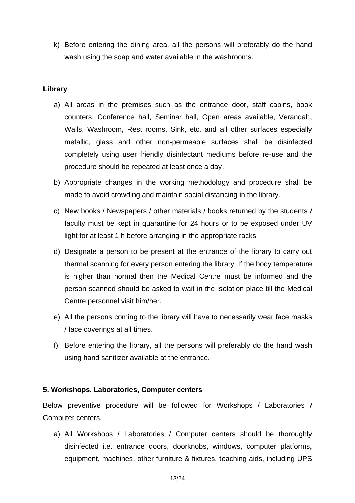k) Before entering the dining area, all the persons will preferably do the hand wash using the soap and water available in the washrooms.

## **Library**

- a) All areas in the premises such as the entrance door, staff cabins, book counters, Conference hall, Seminar hall, Open areas available, Verandah, Walls, Washroom, Rest rooms, Sink, etc. and all other surfaces especially metallic, glass and other non-permeable surfaces shall be disinfected completely using user friendly disinfectant mediums before re-use and the procedure should be repeated at least once a day.
- b) Appropriate changes in the working methodology and procedure shall be made to avoid crowding and maintain social distancing in the library.
- c) New books / Newspapers / other materials / books returned by the students / faculty must be kept in quarantine for 24 hours or to be exposed under UV light for at least 1 h before arranging in the appropriate racks.
- d) Designate a person to be present at the entrance of the library to carry out thermal scanning for every person entering the library. If the body temperature is higher than normal then the Medical Centre must be informed and the person scanned should be asked to wait in the isolation place till the Medical Centre personnel visit him/her.
- e) All the persons coming to the library will have to necessarily wear face masks / face coverings at all times.
- f) Before entering the library, all the persons will preferably do the hand wash using hand sanitizer available at the entrance.

## **5. Workshops, Laboratories, Computer centers**

Below preventive procedure will be followed for Workshops / Laboratories / Computer centers.

a) All Workshops / Laboratories / Computer centers should be thoroughly disinfected i.e. entrance doors, doorknobs, windows, computer platforms, equipment, machines, other furniture & fixtures, teaching aids, including UPS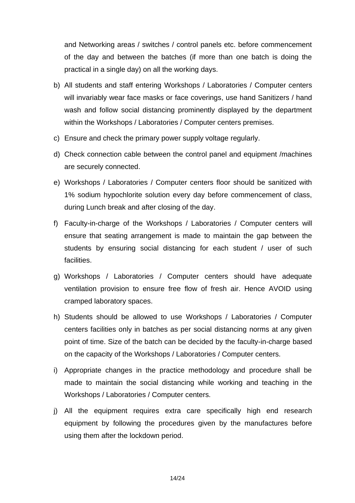and Networking areas / switches / control panels etc. before commencement of the day and between the batches (if more than one batch is doing the practical in a single day) on all the working days.

- b) All students and staff entering Workshops / Laboratories / Computer centers will invariably wear face masks or face coverings, use hand Sanitizers / hand wash and follow social distancing prominently displayed by the department within the Workshops / Laboratories / Computer centers premises.
- c) Ensure and check the primary power supply voltage regularly.
- d) Check connection cable between the control panel and equipment /machines are securely connected.
- e) Workshops / Laboratories / Computer centers floor should be sanitized with 1% sodium hypochlorite solution every day before commencement of class, during Lunch break and after closing of the day.
- f) Faculty-in-charge of the Workshops / Laboratories / Computer centers will ensure that seating arrangement is made to maintain the gap between the students by ensuring social distancing for each student / user of such facilities.
- g) Workshops / Laboratories / Computer centers should have adequate ventilation provision to ensure free flow of fresh air. Hence AVOID using cramped laboratory spaces.
- h) Students should be allowed to use Workshops / Laboratories / Computer centers facilities only in batches as per social distancing norms at any given point of time. Size of the batch can be decided by the faculty-in-charge based on the capacity of the Workshops / Laboratories / Computer centers.
- i) Appropriate changes in the practice methodology and procedure shall be made to maintain the social distancing while working and teaching in the Workshops / Laboratories / Computer centers.
- j) All the equipment requires extra care specifically high end research equipment by following the procedures given by the manufactures before using them after the lockdown period.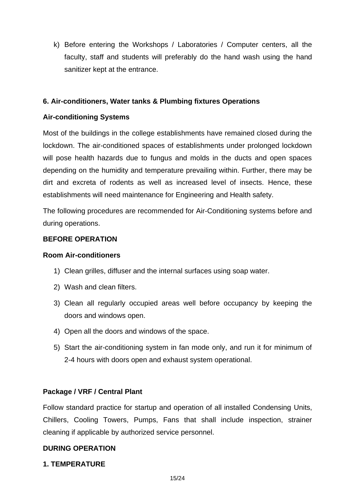k) Before entering the Workshops / Laboratories / Computer centers, all the faculty, staff and students will preferably do the hand wash using the hand sanitizer kept at the entrance.

## **6. Air-conditioners, Water tanks & Plumbing fixtures Operations**

## **Air-conditioning Systems**

Most of the buildings in the college establishments have remained closed during the lockdown. The air-conditioned spaces of establishments under prolonged lockdown will pose health hazards due to fungus and molds in the ducts and open spaces depending on the humidity and temperature prevailing within. Further, there may be dirt and excreta of rodents as well as increased level of insects. Hence, these establishments will need maintenance for Engineering and Health safety.

The following procedures are recommended for Air-Conditioning systems before and during operations.

## **BEFORE OPERATION**

## **Room Air-conditioners**

- 1) Clean grilles, diffuser and the internal surfaces using soap water.
- 2) Wash and clean filters.
- 3) Clean all regularly occupied areas well before occupancy by keeping the doors and windows open.
- 4) Open all the doors and windows of the space.
- 5) Start the air-conditioning system in fan mode only, and run it for minimum of 2-4 hours with doors open and exhaust system operational.

## **Package / VRF / Central Plant**

Follow standard practice for startup and operation of all installed Condensing Units, Chillers, Cooling Towers, Pumps, Fans that shall include inspection, strainer cleaning if applicable by authorized service personnel.

## **DURING OPERATION**

## **1. TEMPERATURE**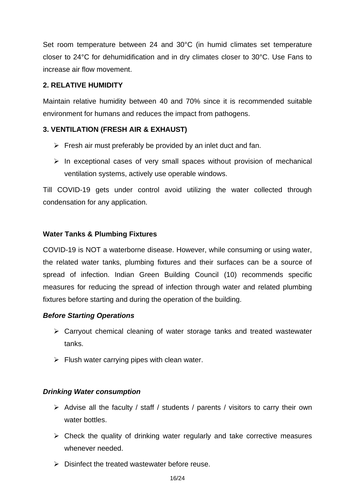Set room temperature between 24 and 30°C (in humid climates set temperature closer to 24°C for dehumidification and in dry climates closer to 30°C. Use Fans to increase air flow movement.

## **2. RELATIVE HUMIDITY**

Maintain relative humidity between 40 and 70% since it is recommended suitable environment for humans and reduces the impact from pathogens.

## **3. VENTILATION (FRESH AIR & EXHAUST)**

- $\triangleright$  Fresh air must preferably be provided by an inlet duct and fan.
- $\triangleright$  In exceptional cases of very small spaces without provision of mechanical ventilation systems, actively use operable windows.

Till COVID-19 gets under control avoid utilizing the water collected through condensation for any application.

## **Water Tanks & Plumbing Fixtures**

COVID-19 is NOT a waterborne disease. However, while consuming or using water, the related water tanks, plumbing fixtures and their surfaces can be a source of spread of infection. Indian Green Building Council (10) recommends specific measures for reducing the spread of infection through water and related plumbing fixtures before starting and during the operation of the building.

## *Before Starting Operations*

- ➢ Carryout chemical cleaning of water storage tanks and treated wastewater tanks.
- $\triangleright$  Flush water carrying pipes with clean water.

## *Drinking Water consumption*

- ➢ Advise all the faculty / staff / students / parents / visitors to carry their own water bottles.
- $\triangleright$  Check the quality of drinking water regularly and take corrective measures whenever needed.
- ➢ Disinfect the treated wastewater before reuse.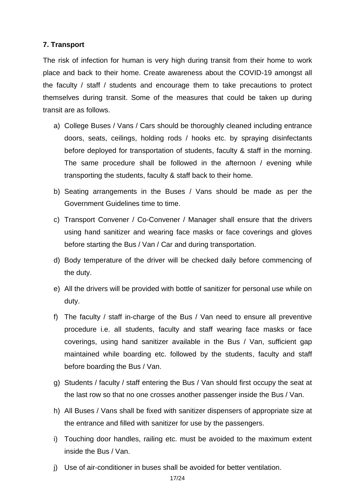## **7. Transport**

The risk of infection for human is very high during transit from their home to work place and back to their home. Create awareness about the COVID-19 amongst all the faculty / staff / students and encourage them to take precautions to protect themselves during transit. Some of the measures that could be taken up during transit are as follows.

- a) College Buses / Vans / Cars should be thoroughly cleaned including entrance doors, seats, ceilings, holding rods / hooks etc. by spraying disinfectants before deployed for transportation of students, faculty & staff in the morning. The same procedure shall be followed in the afternoon / evening while transporting the students, faculty & staff back to their home.
- b) Seating arrangements in the Buses / Vans should be made as per the Government Guidelines time to time.
- c) Transport Convener / Co-Convener / Manager shall ensure that the drivers using hand sanitizer and wearing face masks or face coverings and gloves before starting the Bus / Van / Car and during transportation.
- d) Body temperature of the driver will be checked daily before commencing of the duty.
- e) All the drivers will be provided with bottle of sanitizer for personal use while on duty.
- f) The faculty / staff in-charge of the Bus / Van need to ensure all preventive procedure i.e. all students, faculty and staff wearing face masks or face coverings, using hand sanitizer available in the Bus / Van, sufficient gap maintained while boarding etc. followed by the students, faculty and staff before boarding the Bus / Van.
- g) Students / faculty / staff entering the Bus / Van should first occupy the seat at the last row so that no one crosses another passenger inside the Bus / Van.
- h) All Buses / Vans shall be fixed with sanitizer dispensers of appropriate size at the entrance and filled with sanitizer for use by the passengers.
- i) Touching door handles, railing etc. must be avoided to the maximum extent inside the Bus / Van.
- j) Use of air-conditioner in buses shall be avoided for better ventilation.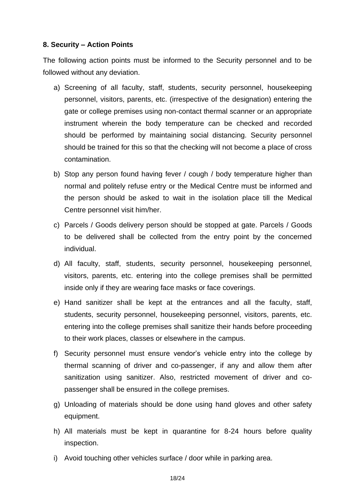## **8. Security – Action Points**

The following action points must be informed to the Security personnel and to be followed without any deviation.

- a) Screening of all faculty, staff, students, security personnel, housekeeping personnel, visitors, parents, etc. (irrespective of the designation) entering the gate or college premises using non-contact thermal scanner or an appropriate instrument wherein the body temperature can be checked and recorded should be performed by maintaining social distancing. Security personnel should be trained for this so that the checking will not become a place of cross contamination.
- b) Stop any person found having fever / cough / body temperature higher than normal and politely refuse entry or the Medical Centre must be informed and the person should be asked to wait in the isolation place till the Medical Centre personnel visit him/her.
- c) Parcels / Goods delivery person should be stopped at gate. Parcels / Goods to be delivered shall be collected from the entry point by the concerned individual.
- d) All faculty, staff, students, security personnel, housekeeping personnel, visitors, parents, etc. entering into the college premises shall be permitted inside only if they are wearing face masks or face coverings.
- e) Hand sanitizer shall be kept at the entrances and all the faculty, staff, students, security personnel, housekeeping personnel, visitors, parents, etc. entering into the college premises shall sanitize their hands before proceeding to their work places, classes or elsewhere in the campus.
- f) Security personnel must ensure vendor's vehicle entry into the college by thermal scanning of driver and co-passenger, if any and allow them after sanitization using sanitizer. Also, restricted movement of driver and copassenger shall be ensured in the college premises.
- g) Unloading of materials should be done using hand gloves and other safety equipment.
- h) All materials must be kept in quarantine for 8-24 hours before quality inspection.
- i) Avoid touching other vehicles surface / door while in parking area.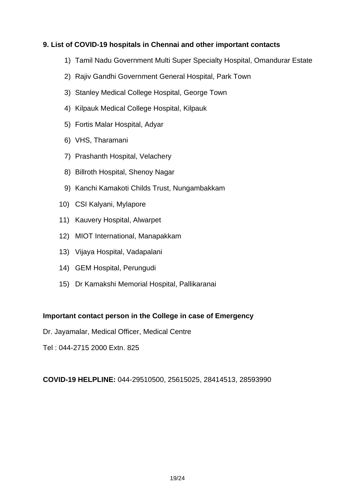## **9. List of COVID-19 hospitals in Chennai and other important contacts**

- 1) Tamil Nadu Government Multi Super Specialty Hospital, Omandurar Estate
- 2) Rajiv Gandhi Government General Hospital, Park Town
- 3) Stanley Medical College Hospital, George Town
- 4) Kilpauk Medical College Hospital, Kilpauk
- 5) Fortis Malar Hospital, Adyar
- 6) VHS, Tharamani
- 7) Prashanth Hospital, Velachery
- 8) Billroth Hospital, Shenoy Nagar
- 9) Kanchi Kamakoti Childs Trust, Nungambakkam
- 10) CSI Kalyani, Mylapore
- 11) Kauvery Hospital, Alwarpet
- 12) MIOT International, Manapakkam
- 13) Vijaya Hospital, Vadapalani
- 14) GEM Hospital, Perungudi
- 15) Dr Kamakshi Memorial Hospital, Pallikaranai

## **Important contact person in the College in case of Emergency**

Dr. Jayamalar, Medical Officer, Medical Centre

Tel : 044-2715 2000 Extn. 825

**COVID-19 HELPLINE:** 044-29510500, 25615025, 28414513, 28593990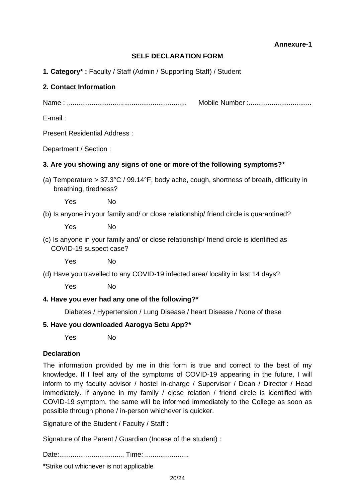**Annexure-1**

#### **SELF DECLARATION FORM**

**1. Category\* :** Faculty / Staff (Admin / Supporting Staff) / Student

#### **2. Contact Information**

Name : ............................................................... Mobile Number :.................................

E-mail :

Present Residential Address :

Department / Section :

#### **3. Are you showing any signs of one or more of the following symptoms?\***

(a) Temperature > 37.3°C / 99.14°F, body ache, cough, shortness of breath, difficulty in breathing, tiredness?

Yes No

(b) Is anyone in your family and/ or close relationship/ friend circle is quarantined?

Yes No

(c) Is anyone in your family and/ or close relationship/ friend circle is identified as COVID-19 suspect case?

Yes No

(d) Have you travelled to any COVID-19 infected area/ locality in last 14 days?

Yes No

#### **4. Have you ever had any one of the following?\***

Diabetes / Hypertension / Lung Disease / heart Disease / None of these

#### **5. Have you downloaded Aarogya Setu App?\***

Yes No

#### **Declaration**

The information provided by me in this form is true and correct to the best of my knowledge. If I feel any of the symptoms of COVID-19 appearing in the future, I will inform to my faculty advisor / hostel in-charge / Supervisor / Dean / Director / Head immediately. If anyone in my family / close relation / friend circle is identified with COVID-19 symptom, the same will be informed immediately to the College as soon as possible through phone / in-person whichever is quicker.

Signature of the Student / Faculty / Staff :

Signature of the Parent / Guardian (Incase of the student) :

Date:.................................. Time: .......................

**\***Strike out whichever is not applicable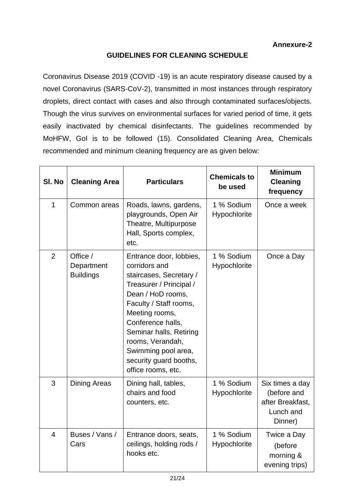## **GUIDELINES FOR CLEANING SCHEDULE**

Coronavirus Disease 2019 (COVID -19) is an acute respiratory disease caused by a novel Coronavirus (SARS-CoV-2), transmitted in most instances through respiratory droplets, direct contact with cases and also through contaminated surfaces/objects. Though the virus survives on environmental surfaces for varied period of time, it gets easily inactivated by chemical disinfectants. The guidelines recommended by MoHFW, GoI is to be followed (15). Consolidated Cleaning Area, Chemicals recommended and minimum cleaning frequency are as given below:

| SI. No         | <b>Cleaning Area</b>                       | <b>Particulars</b>                                                                                                                                                                                                                                                                                         | <b>Chemicals to</b><br>be used | <b>Minimum</b><br><b>Cleaning</b><br>frequency                             |
|----------------|--------------------------------------------|------------------------------------------------------------------------------------------------------------------------------------------------------------------------------------------------------------------------------------------------------------------------------------------------------------|--------------------------------|----------------------------------------------------------------------------|
| $\mathbf{1}$   | Common areas                               | Roads, lawns, gardens,<br>playgrounds, Open Air<br>Theatre, Multipurpose<br>Hall, Sports complex,<br>etc.                                                                                                                                                                                                  | 1 % Sodium<br>Hypochlorite     | Once a week                                                                |
| $\overline{2}$ | Office /<br>Department<br><b>Buildings</b> | Entrance door, lobbies,<br>corridors and<br>staircases, Secretary /<br>Treasurer / Principal /<br>Dean / HoD rooms,<br>Faculty / Staff rooms,<br>Meeting rooms,<br>Conference halls,<br>Seminar halls, Retiring<br>rooms, Verandah,<br>Swimming pool area,<br>security guard booths,<br>office rooms, etc. | 1 % Sodium<br>Hypochlorite     | Once a Day                                                                 |
| 3              | Dining Areas                               | Dining hall, tables,<br>chairs and food<br>counters, etc.                                                                                                                                                                                                                                                  | 1 % Sodium<br>Hypochlorite     | Six times a day<br>(before and<br>after Breakfast,<br>Lunch and<br>Dinner) |
| 4              | Buses / Vans /<br>Cars                     | Entrance doors, seats,<br>ceilings, holding rods /<br>hooks etc.                                                                                                                                                                                                                                           | 1 % Sodium<br>Hypochlorite     | Twice a Day<br>(before<br>morning &<br>evening trips)                      |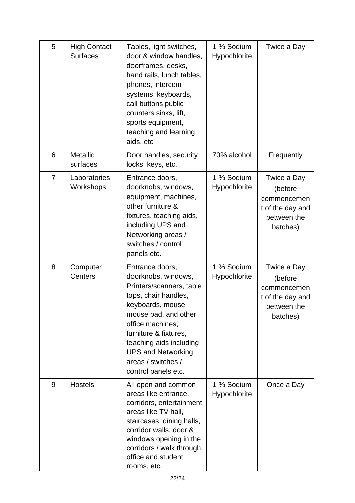| 5              | <b>High Contact</b><br><b>Surfaces</b> | Tables, light switches,<br>door & window handles,<br>doorframes, desks,<br>hand rails, lunch tables,<br>phones, intercom<br>systems, keyboards,<br>call buttons public<br>counters sinks, lift,<br>sports equipment,<br>teaching and learning<br>aids, etc                                | 1 % Sodium<br>Hypochlorite | Twice a Day                                                                          |
|----------------|----------------------------------------|-------------------------------------------------------------------------------------------------------------------------------------------------------------------------------------------------------------------------------------------------------------------------------------------|----------------------------|--------------------------------------------------------------------------------------|
| 6              | <b>Metallic</b><br>surfaces            | Door handles, security<br>locks, keys, etc.                                                                                                                                                                                                                                               | 70% alcohol                | Frequently                                                                           |
| $\overline{7}$ | Laboratories,<br>Workshops             | Entrance doors,<br>doorknobs, windows,<br>equipment, machines,<br>other furniture &<br>fixtures, teaching aids,<br>including UPS and<br>Networking areas /<br>switches / control<br>panels etc.                                                                                           | 1 % Sodium<br>Hypochlorite | Twice a Day<br>(before<br>commencemen<br>t of the day and<br>between the<br>batches) |
| 8              | Computer<br><b>Centers</b>             | Entrance doors,<br>doorknobs, windows,<br>Printers/scanners, table<br>tops, chair handles,<br>keyboards, mouse,<br>mouse pad, and other<br>office machines,<br>furniture & fixtures,<br>teaching aids including<br><b>UPS and Networking</b><br>areas / switches /<br>control panels etc. | 1 % Sodium<br>Hypochlorite | Twice a Day<br>(before<br>commencemen<br>t of the day and<br>between the<br>batches) |
| 9              | <b>Hostels</b>                         | All open and common<br>areas like entrance,<br>corridors, entertainment<br>areas like TV hall,<br>staircases, dining halls,<br>corridor walls, door &<br>windows opening in the<br>corridors / walk through,<br>office and student<br>rooms, etc.                                         | 1 % Sodium<br>Hypochlorite | Once a Day                                                                           |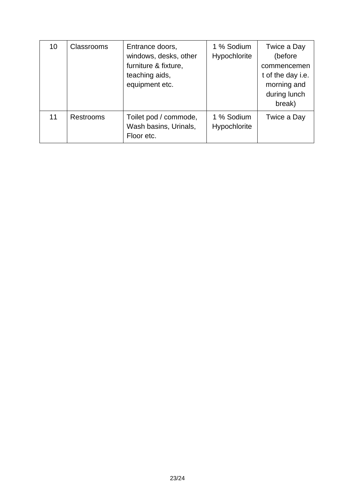| 10 | <b>Classrooms</b> | Entrance doors,<br>windows, desks, other<br>furniture & fixture,<br>teaching aids,<br>equipment etc. | 1 % Sodium<br>Hypochlorite | Twice a Day<br>(before<br>commencemen<br>t of the day i.e.<br>morning and<br>during lunch<br>break) |
|----|-------------------|------------------------------------------------------------------------------------------------------|----------------------------|-----------------------------------------------------------------------------------------------------|
| 11 | <b>Restrooms</b>  | Toilet pod / commode,<br>Wash basins, Urinals,<br>Floor etc.                                         | 1 % Sodium<br>Hypochlorite | Twice a Day                                                                                         |